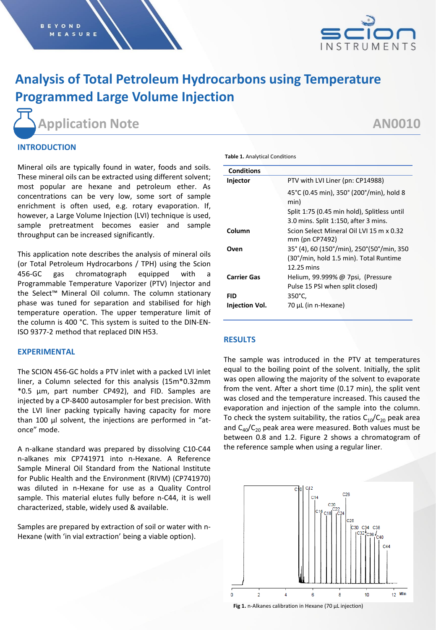

# **Analysis of Total Petroleum Hydrocarbons using Temperature Programmed Large Volume Injection**

**Application Note AN0010**

# **INTRODUCTION**

Mineral oils are typically found in water, foods and soils. These mineral oils can be extracted using different solvent; most popular are hexane and petroleum ether. As concentrations can be very low, some sort of sample enrichment is often used, e.g. rotary evaporation. If, however, a Large Volume Injection (LVI) technique is used, sample pretreatment becomes easier and sample throughput can be increased significantly.

This application note describes the analysis of mineral oils (or Total Petroleum Hydrocarbons / TPH) using the Scion 456-GC gas chromatograph equipped with a Programmable Temperature Vaporizer (PTV) Injector and the Select™ Mineral Oil column. The column stationary phase was tuned for separation and stabilised for high temperature operation. The upper temperature limit of the column is 400 °C. This system is suited to the DIN-EN-ISO 9377-2 method that replaced DIN H53.

### **EXPERIMENTAL**

The SCION 456-GC holds a PTV inlet with a packed LVI inlet liner, a Column selected for this analysis (15m\*0.32mm \*0.5 µm, part number CP492), and FID. Samples are injected by a CP-8400 autosampler for best precision. With the LVI liner packing typically having capacity for more than 100 µl solvent, the injections are performed in "atonce" mode.

A n-alkane standard was prepared by dissolving C10-C44 n-alkanes mix CP741971 into n-Hexane. A Reference Sample Mineral Oil Standard from the National Institute for Public Health and the Environment (RIVM) (CP741970) was diluted in n-Hexane for use as a Quality Control sample. This material elutes fully before n-C44, it is well characterized, stable, widely used & available.

Samples are prepared by extraction of soil or water with n-Hexane (with 'in vial extraction' being a viable option).

| <b>Table 1. Analytical Conditions</b> |  |
|---------------------------------------|--|
|---------------------------------------|--|

| <b>Conditions</b>  |                                                                                     |
|--------------------|-------------------------------------------------------------------------------------|
| Injector           | PTV with LVI Liner (pn: CP14988)                                                    |
|                    | 45°C (0.45 min), 350° (200°/min), hold 8<br>min)                                    |
|                    | Split 1:75 (0.45 min hold), Splitless until                                         |
|                    | 3.0 mins. Split 1:150, after 3 mins.                                                |
| Column             | Scion Select Mineral Oil LVI 15 m x 0.32<br>mm (pn CP7492)                          |
| Oven               | 35° (4), 60 (150°/min), 250°(50°/min, 350<br>(30°/min, hold 1.5 min). Total Runtime |
|                    | $12.25$ mins                                                                        |
| <b>Carrier Gas</b> | Helium, 99.999% @ 7psi, (Pressure                                                   |
|                    | Pulse 15 PSI when split closed)                                                     |
| FID                | 350°C,                                                                              |
| Injection Vol.     | 70 µL (in n-Hexane)                                                                 |
|                    |                                                                                     |

### **RESULTS**

The sample was introduced in the PTV at temperatures equal to the boiling point of the solvent. Initially, the split was open allowing the majority of the solvent to evaporate from the vent. After a short time (0.17 min), the split vent was closed and the temperature increased. This caused the evaporation and injection of the sample into the column. To check the system suitability, the ratios  $C_{10}/C_{20}$  peak area and  $C_{40}/C_{20}$  peak area were measured. Both values must be between 0.8 and 1.2. Figure 2 shows a chromatogram of the reference sample when using a regular liner.



**Fig 1.** n-Alkanes calibration in Hexane (70 µL injection)